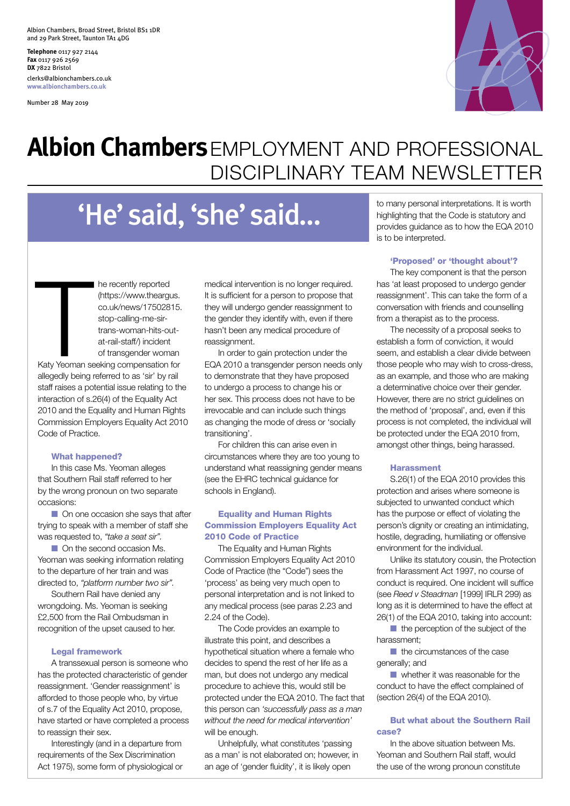Albion Chambers, Broad Street, Bristol BS1 1DR and 29 Park Street, Taunton TA1 4DG

**Telephone** 0117 927 2144 **Fax** 0117 926 2569 **DX** 7822 Bristol clerks@albionchambers.co.uk **www.albionchambers.co.uk**

Number 28 May 2019



## **Albion Chambers**EMPLOYMENT AND PROFESSIONAL DISCIPLINARY TEAM NEWSLETTER

# 'He' said, 'she' said…

co.uk/news/17502815. stop-calling-me-sirtrans-woman-hits-outat-rail-staff/) incident of transgender woman Katy Yeoman seeking compensation for allegedly being referred to as 'sir' by rail staff raises a potential issue relating to the interaction of s.26(4) of the Equality Act 2010 and the Equality and Human Rights Commission Employers Equality Act 2010 Code of Practice. The recently reported medical intervention is no longer required.<br>
(https://www.theargus. It is sufficient for a person to propose that<br>
co.uk/news/17502815. It hey will undergo gender reassignment to<br>
stop-calling-me-sir-

he recently reported (https://www.theargus.

#### What happened?

In this case Ms. Yeoman alleges that Southern Rail staff referred to her by the wrong pronoun on two separate occasions:

 $\Box$  On one occasion she says that after trying to speak with a member of staff she was requested to, *"take a seat sir".* 

**n** On the second occasion Ms. Yeoman was seeking information relating to the departure of her train and was directed to, *"platform number two sir".* 

Southern Rail have denied any wrongdoing. Ms. Yeoman is seeking £2,500 from the Rail Ombudsman in recognition of the upset caused to her.

#### Legal framework

A transsexual person is someone who has the protected characteristic of gender reassignment. 'Gender reassignment' is afforded to those people who, by virtue of s.7 of the Equality Act 2010, propose, have started or have completed a process to reassign their sex.

Interestingly (and in a departure from requirements of the Sex Discrimination Act 1975), some form of physiological or It is sufficient for a person to propose that they will undergo gender reassignment to the gender they identify with, even if there hasn't been any medical procedure of reassignment.

In order to gain protection under the EQA 2010 a transgender person needs only to demonstrate that they have proposed to undergo a process to change his or her sex. This process does not have to be irrevocable and can include such things as changing the mode of dress or 'socially transitioning'.

For children this can arise even in circumstances where they are too young to understand what reassigning gender means (see the EHRC technical guidance for schools in England).

#### Equality and Human Rights Commission Employers Equality Act 2010 Code of Practice

The Equality and Human Rights Commission Employers Equality Act 2010 Code of Practice (the "Code") sees the 'process' as being very much open to personal interpretation and is not linked to any medical process (see paras 2.23 and 2.24 of the Code).

The Code provides an example to illustrate this point, and describes a hypothetical situation where a female who decides to spend the rest of her life as a man, but does not undergo any medical procedure to achieve this, would still be protected under the EQA 2010. The fact that this person can *'successfully pass as a man without the need for medical intervention'* will be enough.

Unhelpfully, what constitutes 'passing as a man' is not elaborated on; however, in an age of 'gender fluidity', it is likely open

to many personal interpretations. It is worth highlighting that the Code is statutory and provides guidance as to how the EQA 2010 is to be interpreted.

#### 'Proposed' or 'thought about'?

The key component is that the person has 'at least proposed to undergo gender reassignment'. This can take the form of a conversation with friends and counselling from a therapist as to the process.

The necessity of a proposal seeks to establish a form of conviction, it would seem, and establish a clear divide between those people who may wish to cross-dress, as an example, and those who are making a determinative choice over their gender. However, there are no strict guidelines on the method of 'proposal', and, even if this process is not completed, the individual will be protected under the EQA 2010 from, amongst other things, being harassed.

#### Harassment

S.26(1) of the EQA 2010 provides this protection and arises where someone is subjected to unwanted conduct which has the purpose or effect of violating the person's dignity or creating an intimidating, hostile, degrading, humiliating or offensive environment for the individual.

Unlike its statutory cousin, the Protection from Harassment Act 1997, no course of conduct is required. One incident will suffice (see *Reed v Steadman* [1999] IRLR 299) as long as it is determined to have the effect at 26(1) of the EQA 2010, taking into account:

 $\blacksquare$  the perception of the subject of the harassment;

 $\blacksquare$  the circumstances of the case generally; and

 $\blacksquare$  whether it was reasonable for the conduct to have the effect complained of (section 26(4) of the EQA 2010).

#### But what about the Southern Rail case?

In the above situation between Ms. Yeoman and Southern Rail staff, would the use of the wrong pronoun constitute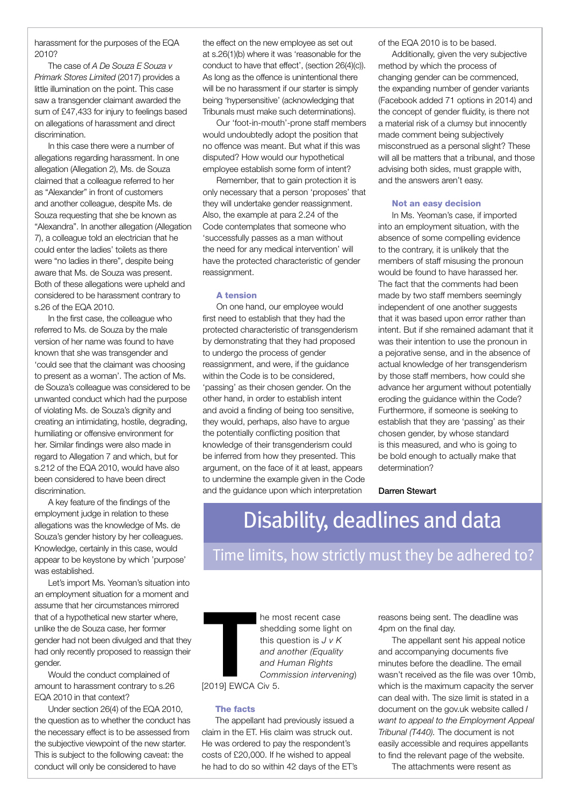harassment for the purposes of the EQA 2010?

The case of *A De Souza E Souza v Primark Stores Limited* (2017) provides a little illumination on the point. This case saw a transgender claimant awarded the sum of £47,433 for injury to feelings based on allegations of harassment and direct discrimination.

In this case there were a number of allegations regarding harassment. In one allegation (Allegation 2), Ms. de Souza claimed that a colleague referred to her as "Alexander" in front of customers and another colleague, despite Ms. de Souza requesting that she be known as "Alexandra". In another allegation (Allegation 7), a colleague told an electrician that he could enter the ladies' toilets as there were "no ladies in there", despite being aware that Ms. de Souza was present. Both of these allegations were upheld and considered to be harassment contrary to s.26 of the EQA 2010.

In the first case, the colleague who referred to Ms. de Souza by the male version of her name was found to have known that she was transgender and 'could see that the claimant was choosing to present as a woman'. The action of Ms. de Souza's colleague was considered to be unwanted conduct which had the purpose of violating Ms. de Souza's dignity and creating an intimidating, hostile, degrading, humiliating or offensive environment for her. Similar findings were also made in regard to Allegation 7 and which, but for s.212 of the EQA 2010, would have also been considered to have been direct discrimination.

A key feature of the findings of the employment judge in relation to these allegations was the knowledge of Ms. de Souza's gender history by her colleagues. Knowledge, certainly in this case, would appear to be keystone by which 'purpose' was established.

Let's import Ms. Yeoman's situation into an employment situation for a moment and assume that her circumstances mirrored that of a hypothetical new starter where, unlike the de Souza case, her former gender had not been divulged and that they had only recently proposed to reassign their gender.

Would the conduct complained of amount to harassment contrary to s.26 EQA 2010 in that context?

Under section 26(4) of the EQA 2010, the question as to whether the conduct has the necessary effect is to be assessed from the subjective viewpoint of the new starter. This is subject to the following caveat: the conduct will only be considered to have

the effect on the new employee as set out at s.26(1)(b) where it was 'reasonable for the conduct to have that effect', (section 26(4)(c)). As long as the offence is unintentional there will be no harassment if our starter is simply being 'hypersensitive' (acknowledging that Tribunals must make such determinations).

Our 'foot-in-mouth'-prone staff members would undoubtedly adopt the position that no offence was meant. But what if this was disputed? How would our hypothetical employee establish some form of intent?

Remember, that to gain protection it is only necessary that a person 'proposes' that they will undertake gender reassignment. Also, the example at para 2.24 of the Code contemplates that someone who 'successfully passes as a man without the need for any medical intervention' will have the protected characteristic of gender reassignment.

#### A tension

On one hand, our employee would first need to establish that they had the protected characteristic of transgenderism by demonstrating that they had proposed to undergo the process of gender reassignment, and were, if the guidance within the Code is to be considered, 'passing' as their chosen gender. On the other hand, in order to establish intent and avoid a finding of being too sensitive, they would, perhaps, also have to argue the potentially conflicting position that knowledge of their transgenderism could be inferred from how they presented. This argument, on the face of it at least, appears to undermine the example given in the Code and the guidance upon which interpretation

of the EQA 2010 is to be based.

Additionally, given the very subjective method by which the process of changing gender can be commenced, the expanding number of gender variants (Facebook added 71 options in 2014) and the concept of gender fluidity, is there not a material risk of a clumsy but innocently made comment being subjectively misconstrued as a personal slight? These will all be matters that a tribunal, and those advising both sides, must grapple with, and the answers aren't easy.

#### Not an easy decision

In Ms. Yeoman's case, if imported into an employment situation, with the absence of some compelling evidence to the contrary, it is unlikely that the members of staff misusing the pronoun would be found to have harassed her. The fact that the comments had been made by two staff members seemingly independent of one another suggests that it was based upon error rather than intent. But if she remained adamant that it was their intention to use the pronoun in a pejorative sense, and in the absence of actual knowledge of her transgenderism by those staff members, how could she advance her argument without potentially eroding the guidance within the Code? Furthermore, if someone is seeking to establish that they are 'passing' as their chosen gender, by whose standard is this measured, and who is going to be bold enough to actually make that determination?

Darren Stewart

## Disability, deadlines and data

Time limits, how strictly must they be adhered to?

The most recent case reasons being sent. The deadline was<br>shedding some light on 4pm on the final day.<br>this question is  $J v K$  The appellant sent his appeal notic<br>and another (Equality and accompanying documents five<br>and Hu he most recent case shedding some light on this question is *J v K and another (Equality and Human Rights Commission intervening*) [2019] EWCA Civ 5.

#### The facts

The appellant had previously issued a claim in the ET. His claim was struck out. He was ordered to pay the respondent's costs of £20,000. If he wished to appeal he had to do so within 42 days of the ET's 4pm on the final day.

The appellant sent his appeal notice and accompanying documents five minutes before the deadline. The email wasn't received as the file was over 10mb, which is the maximum capacity the server can deal with. The size limit is stated in a document on the gov.uk website called *I want to appeal to the Employment Appeal Tribunal (T440).* The document is not easily accessible and requires appellants to find the relevant page of the website.

The attachments were resent as

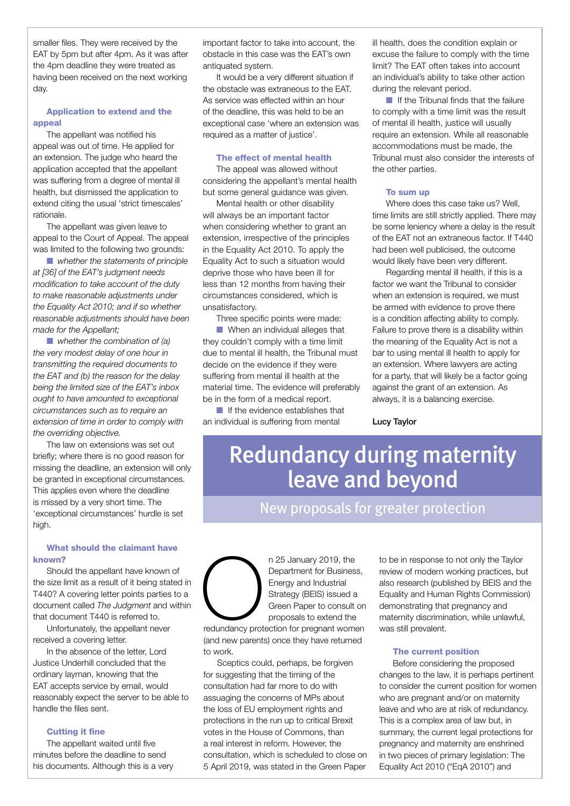smaller files. They were received by the EAT by 5pm but after 4pm. As it was after the 4pm deadline they were treated as having been received on the next working day.

#### Application to extend and the appeal

The appellant was notified his appeal was out of time. He applied for an extension. The judge who heard the application accepted that the appellant was suffering from a degree of mental ill health, but dismissed the application to extend citing the usual 'strict timescales' rationale.

The appellant was given leave to appeal to the Court of Appeal. The appeal was limited to the following two grounds:

**n** *whether the statements of principle at [36] of the EAT's judgment needs modification to take account of the duty to make reasonable adjustments under the Equality Act 2010; and if so whether reasonable adjustments should have been made for the Appellant;*

**n** *whether the combination of (a) the very modest delay of one hour in transmitting the required documents to the EAT and (b) the reason for the delay being the limited size of the EAT's inbox ought to have amounted to exceptional circumstances such as to require an extension of time in order to comply with the overriding objective.*

The law on extensions was set out briefly; where there is no good reason for missing the deadline, an extension will only be granted in exceptional circumstances. This applies even where the deadline is missed by a very short time. The 'exceptional circumstances' hurdle is set high.

#### What should the claimant have known?

Should the appellant have known of the size limit as a result of it being stated in T440? A covering letter points parties to a document called *The Judgment* and within that document T440 is referred to.

Unfortunately, the appellant never received a covering letter.

In the absence of the letter, Lord Justice Underhill concluded that the ordinary layman, knowing that the EAT accepts service by email, would reasonably expect the server to be able to handle the files sent.

#### Cutting it fine

The appellant waited until five minutes before the deadline to send his documents. Although this is a very

important factor to take into account, the obstacle in this case was the EAT's own antiquated system.

It would be a very different situation if the obstacle was extraneous to the EAT. As service was effected within an hour of the deadline, this was held to be an exceptional case 'where an extension was required as a matter of justice'.

#### The effect of mental health

The appeal was allowed without considering the appellant's mental health but some general guidance was given.

Mental health or other disability will always be an important factor when considering whether to grant an extension, irrespective of the principles in the Equality Act 2010. To apply the Equality Act to such a situation would deprive those who have been ill for less than 12 months from having their circumstances considered, which is unsatisfactory.

Three specific points were made:

**n** When an individual alleges that they couldn't comply with a time limit due to mental ill health, the Tribunal must decide on the evidence if they were suffering from mental ill health at the material time. The evidence will preferably be in the form of a medical report.

 $\blacksquare$  If the evidence establishes that an individual is suffering from mental

ill health, does the condition explain or excuse the failure to comply with the time limit? The EAT often takes into account an individual's ability to take other action during the relevant period.

 $\blacksquare$  If the Tribunal finds that the failure to comply with a time limit was the result of mental ill health, justice will usually require an extension. While all reasonable accommodations must be made, the Tribunal must also consider the interests of the other parties.

#### To sum up

Where does this case take us? Well, time limits are still strictly applied. There may be some leniency where a delay is the result of the EAT not an extraneous factor. If T440 had been well publicised, the outcome would likely have been very different.

Regarding mental ill health, if this is a factor we want the Tribunal to consider when an extension is required, we must be armed with evidence to prove there is a condition affecting ability to comply. Failure to prove there is a disability within the meaning of the Equality Act is not a bar to using mental ill health to apply for an extension. Where lawyers are acting for a party, that will likely be a factor going against the grant of an extension. As always, it is a balancing exercise.

#### Lucy Taylor

## Redundancy during maternity leave and beyond

### New proposals for greater protection

n 25 January 2019, the Department for Business, Energy and Industrial Strategy (BEIS) issued a Green Paper to consult on proposals to extend the

 $\bigodot$ redundancy prot redundancy protection for pregnant women (and new parents) once they have returned to work.

Sceptics could, perhaps, be forgiven for suggesting that the timing of the consultation had far more to do with assuaging the concerns of MPs about the loss of EU employment rights and protections in the run up to critical Brexit votes in the House of Commons, than a real interest in reform. However, the consultation, which is scheduled to close on 5 April 2019, was stated in the Green Paper

to be in response to not only the Taylor review of modern working practices, but also research (published by BEIS and the Equality and Human Rights Commission) demonstrating that pregnancy and maternity discrimination, while unlawful, was still prevalent.

#### The current position

Before considering the proposed changes to the law, it is perhaps pertinent to consider the current position for women who are pregnant and/or on maternity leave and who are at risk of redundancy. This is a complex area of law but, in summary, the current legal protections for pregnancy and maternity are enshrined in two pieces of primary legislation: The Equality Act 2010 ("EqA 2010") and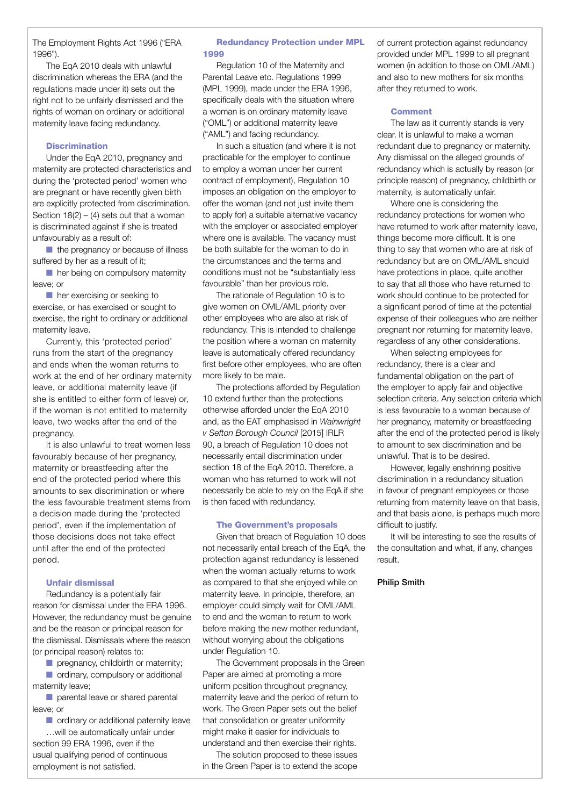The Employment Rights Act 1996 ("ERA 1996").

The EqA 2010 deals with unlawful discrimination whereas the ERA (and the regulations made under it) sets out the right not to be unfairly dismissed and the rights of woman on ordinary or additional maternity leave facing redundancy.

#### **Discrimination**

Under the EqA 2010, pregnancy and maternity are protected characteristics and during the 'protected period' women who are pregnant or have recently given birth are explicitly protected from discrimination. Section  $18(2) - (4)$  sets out that a woman is discriminated against if she is treated unfavourably as a result of:

 $\blacksquare$  the pregnancy or because of illness suffered by her as a result of it;

n her being on compulsory maternity leave; or

 $\blacksquare$  her exercising or seeking to exercise, or has exercised or sought to exercise, the right to ordinary or additional maternity leave.

Currently, this 'protected period' runs from the start of the pregnancy and ends when the woman returns to work at the end of her ordinary maternity leave, or additional maternity leave (if she is entitled to either form of leave) or, if the woman is not entitled to maternity leave, two weeks after the end of the pregnancy.

It is also unlawful to treat women less favourably because of her pregnancy, maternity or breastfeeding after the end of the protected period where this amounts to sex discrimination or where the less favourable treatment stems from a decision made during the 'protected period', even if the implementation of those decisions does not take effect until after the end of the protected period.

#### Unfair dismissal

Redundancy is a potentially fair reason for dismissal under the ERA 1996. However, the redundancy must be genuine and be the reason or principal reason for the dismissal. Dismissals where the reason (or principal reason) relates to:

 $\blacksquare$  pregnancy, childbirth or maternity;  $\blacksquare$  ordinary, compulsory or additional maternity leave;

 $\blacksquare$  parental leave or shared parental leave; or

 $\blacksquare$  ordinary or additional paternity leave …will be automatically unfair under section 99 ERA 1996, even if the usual qualifying period of continuous employment is not satisfied.

#### Redundancy Protection under MPL 1999

Regulation 10 of the Maternity and Parental Leave etc. Regulations 1999 (MPL 1999), made under the ERA 1996, specifically deals with the situation where a woman is on ordinary maternity leave ("OML") or additional maternity leave ("AML") and facing redundancy.

In such a situation (and where it is not practicable for the employer to continue to employ a woman under her current contract of employment), Regulation 10 imposes an obligation on the employer to offer the woman (and not just invite them to apply for) a suitable alternative vacancy with the employer or associated employer where one is available. The vacancy must be both suitable for the woman to do in the circumstances and the terms and conditions must not be "substantially less favourable" than her previous role.

The rationale of Regulation 10 is to give women on OML/AML priority over other employees who are also at risk of redundancy. This is intended to challenge the position where a woman on maternity leave is automatically offered redundancy first before other employees, who are often more likely to be male.

The protections afforded by Regulation 10 extend further than the protections otherwise afforded under the EqA 2010 and, as the EAT emphasised in *Wainwright v Sefton Borough Council* [2015] IRLR 90, a breach of Regulation 10 does not necessarily entail discrimination under section 18 of the EqA 2010. Therefore, a woman who has returned to work will not necessarily be able to rely on the EqA if she is then faced with redundancy.

#### The Government's proposals

Given that breach of Regulation 10 does not necessarily entail breach of the EqA, the protection against redundancy is lessened when the woman actually returns to work as compared to that she enjoyed while on maternity leave. In principle, therefore, an employer could simply wait for OML/AML to end and the woman to return to work before making the new mother redundant, without worrying about the obligations under Regulation 10.

The Government proposals in the Green Paper are aimed at promoting a more uniform position throughout pregnancy, maternity leave and the period of return to work. The Green Paper sets out the belief that consolidation or greater uniformity might make it easier for individuals to understand and then exercise their rights.

The solution proposed to these issues in the Green Paper is to extend the scope

of current protection against redundancy provided under MPL 1999 to all pregnant women (in addition to those on OML/AML) and also to new mothers for six months after they returned to work.

#### **Comment**

The law as it currently stands is very clear. It is unlawful to make a woman redundant due to pregnancy or maternity. Any dismissal on the alleged grounds of redundancy which is actually by reason (or principle reason) of pregnancy, childbirth or maternity, is automatically unfair.

Where one is considering the redundancy protections for women who have returned to work after maternity leave, things become more difficult. It is one thing to say that women who are at risk of redundancy but are on OML/AML should have protections in place, quite another to say that all those who have returned to work should continue to be protected for a significant period of time at the potential expense of their colleagues who are neither pregnant nor returning for maternity leave, regardless of any other considerations.

When selecting employees for redundancy, there is a clear and fundamental obligation on the part of the employer to apply fair and objective selection criteria. Any selection criteria which is less favourable to a woman because of her pregnancy, maternity or breastfeeding after the end of the protected period is likely to amount to sex discrimination and be unlawful. That is to be desired.

However, legally enshrining positive discrimination in a redundancy situation in favour of pregnant employees or those returning from maternity leave on that basis, and that basis alone, is perhaps much more difficult to justify.

It will be interesting to see the results of the consultation and what, if any, changes result.

#### Philip Smith